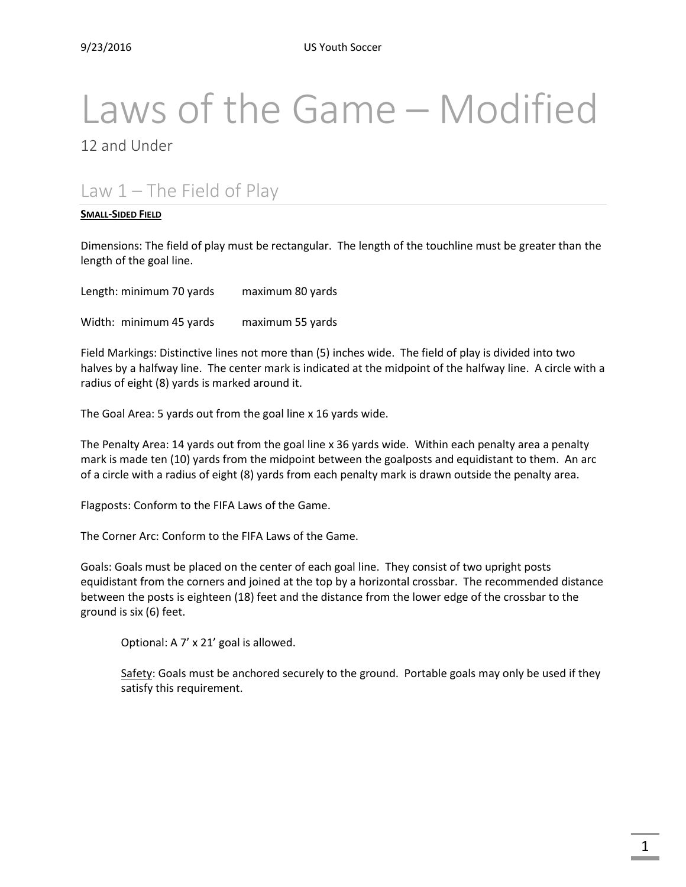# Laws of the Game – Modified

12 and Under

# Law  $1$  – The Field of Play

#### **SMALL-SIDED FIELD**

Dimensions: The field of play must be rectangular. The length of the touchline must be greater than the length of the goal line.

Length: minimum 70 yards maximum 80 yards

Width: minimum 45 yards maximum 55 yards

Field Markings: Distinctive lines not more than (5) inches wide. The field of play is divided into two halves by a halfway line. The center mark is indicated at the midpoint of the halfway line. A circle with a radius of eight (8) yards is marked around it.

The Goal Area: 5 yards out from the goal line x 16 yards wide.

The Penalty Area: 14 yards out from the goal line x 36 yards wide. Within each penalty area a penalty mark is made ten (10) yards from the midpoint between the goalposts and equidistant to them. An arc of a circle with a radius of eight (8) yards from each penalty mark is drawn outside the penalty area.

Flagposts: Conform to the FIFA Laws of the Game.

The Corner Arc: Conform to the FIFA Laws of the Game.

Goals: Goals must be placed on the center of each goal line. They consist of two upright posts equidistant from the corners and joined at the top by a horizontal crossbar. The recommended distance between the posts is eighteen (18) feet and the distance from the lower edge of the crossbar to the ground is six (6) feet.

Optional: A 7' x 21' goal is allowed.

Safety: Goals must be anchored securely to the ground. Portable goals may only be used if they satisfy this requirement.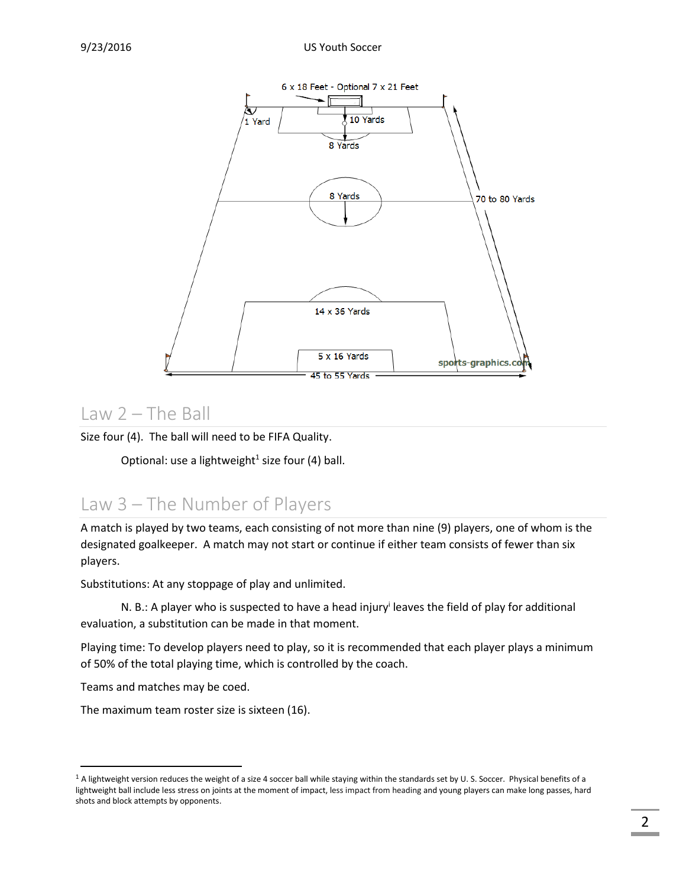

#### Law 2 – The Ball

Size four (4). The ball will need to be FIFA Quality.

Optional: use a lightweight<sup>1</sup> size four (4) ball.

## Law 3 – The Number of Players

A match is played by two teams, each consisting of not more than nine (9) players, one of whom is the designated goalkeeper. A match may not start or continue if either team consists of fewer than six players.

Substitutions: At any stoppage of play and unlimited.

N. B.: A player who is suspected to have a head injury<sup>i</sup> leaves the field of play for additional evaluation, a substitution can be made in that moment.

Playing time: To develop players need to play, so it is recommended that each player plays a minimum of 50% of the total playing time, which is controlled by the coach.

Teams and matches may be coed.

 $\overline{\phantom{a}}$ 

The maximum team roster size is sixteen (16).

 $1$  A lightweight version reduces the weight of a size 4 soccer ball while staying within the standards set by U. S. Soccer. Physical benefits of a lightweight ball include less stress on joints at the moment of impact, less impact from heading and young players can make long passes, hard shots and block attempts by opponents.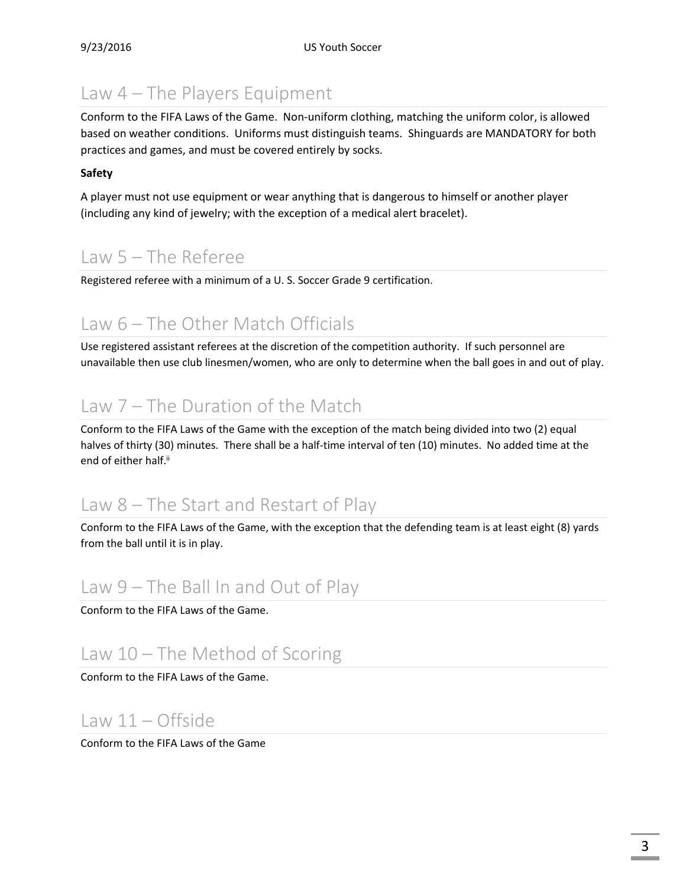# Law 4 – The Players Equipment

Conform to the FIFA Laws of the Game. Non-uniform clothing, matching the uniform color, is allowed based on weather conditions. Uniforms must distinguish teams. Shinguards are MANDATORY for both practices and games, and must be covered entirely by socks.

#### **Safety**

A player must not use equipment or wear anything that is dangerous to himself or another player (including any kind of jewelry; with the exception of a medical alert bracelet).

# Law 5 – The Referee

Registered referee with a minimum of a U. S. Soccer Grade 9 certification.

# Law 6 – The Other Match Officials

Use registered assistant referees at the discretion of the competition authority. If such personnel are unavailable then use club linesmen/women, who are only to determine when the ball goes in and out of play.

# Law 7 – The Duration of the Match

Conform to the FIFA Laws of the Game with the exception of the match being divided into two (2) equal halves of thirty (30) minutes. There shall be a half-time interval of ten (10) minutes. No added time at the end of either half.<sup>ii</sup>

## Law 8 – The Start and Restart of Play

Conform to the FIFA Laws of the Game, with the exception that the defending team is at least eight (8) yards from the ball until it is in play.

# Law 9 – The Ball In and Out of Play

Conform to the FIFA Laws of the Game.

# Law 10 – The Method of Scoring

Conform to the FIFA Laws of the Game.

## Law 11 – Offside

Conform to the FIFA Laws of the Game